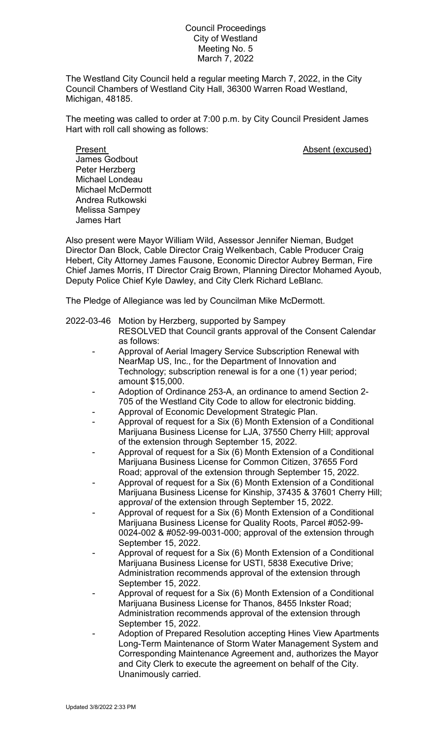## Council Proceedings City of Westland Meeting No. 5 March 7, 2022

The Westland City Council held a regular meeting March 7, 2022, in the City Council Chambers of Westland City Hall, 36300 Warren Road Westland, Michigan, 48185.

The meeting was called to order at 7:00 p.m. by City Council President James Hart with roll call showing as follows:

Present **Absent** (excused) James Godbout Peter Herzberg Michael Londeau Michael McDermott Andrea Rutkowski Melissa Sampey James Hart

Also present were Mayor William Wild, Assessor Jennifer Nieman, Budget Director Dan Block, Cable Director Craig Welkenbach, Cable Producer Craig Hebert, City Attorney James Fausone, Economic Director Aubrey Berman, Fire Chief James Morris, IT Director Craig Brown, Planning Director Mohamed Ayoub, Deputy Police Chief Kyle Dawley, and City Clerk Richard LeBlanc.

The Pledge of Allegiance was led by Councilman Mike McDermott.

## 2022-03-46 Motion by Herzberg, supported by Sampey

- RESOLVED that Council grants approval of the Consent Calendar as follows:
- Approval of Aerial Imagery Service Subscription Renewal with NearMap US, Inc., for the Department of Innovation and Technology; subscription renewal is for a one (1) year period; amount \$15,000.
- Adoption of Ordinance 253-A, an ordinance to amend Section 2- 705 of the Westland City Code to allow for electronic bidding.
- Approval of Economic Development Strategic Plan.
- Approval of request for a Six (6) Month Extension of a Conditional Marijuana Business License for LJA, 37550 Cherry Hill; approval of the extension through September 15, 2022.
- Approval of request for a Six (6) Month Extension of a Conditional Marijuana Business License for Common Citizen, 37655 Ford Road; approval of the extension through September 15, 2022.
- Approval of request for a Six (6) Month Extension of a Conditional Marijuana Business License for Kinship, 37435 & 37601 Cherry Hill; appro*val* of the extension through September 15, 2022.
- Approval of request for a Six (6) Month Extension of a Conditional Marijuana Business License for Quality Roots, Parcel #052-99- 0024-002 & #052-99-0031-000; approval of the extension through September 15, 2022.
- Approval of request for a Six (6) Month Extension of a Conditional Marijuana Business License for USTI, 5838 Executive Drive; Administration recommends approval of the extension through September 15, 2022.
- Approval of request for a Six (6) Month Extension of a Conditional Marijuana Business License for Thanos, 8455 Inkster Road; Administration recommends approval of the extension through September 15, 2022.
- Adoption of Prepared Resolution accepting Hines View Apartments Long-Term Maintenance of Storm Water Management System and Corresponding Maintenance Agreement and, authorizes the Mayor and City Clerk to execute the agreement on behalf of the City. Unanimously carried.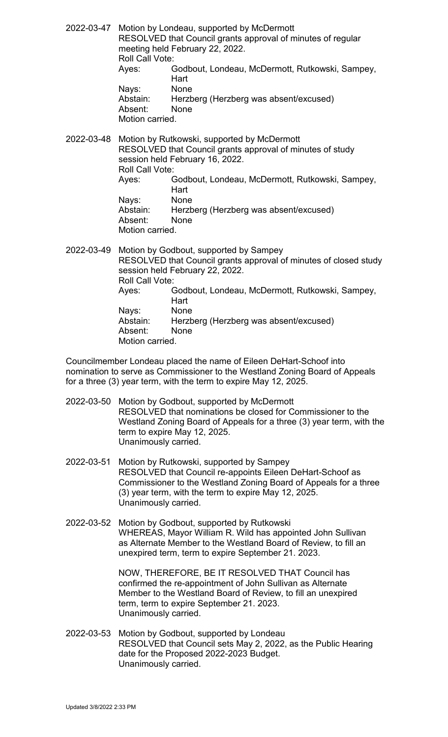2022-03-47 Motion by Londeau, supported by McDermott RESOLVED that Council grants approval of minutes of regular meeting held February 22, 2022. Roll Call Vote: Ayes: Godbout, Londeau, McDermott, Rutkowski, Sampey, Hart<br>None Nays: Abstain: Herzberg (Herzberg was absent/excused) Absent: None Motion carried.

2022-03-48 Motion by Rutkowski, supported by McDermott RESOLVED that Council grants approval of minutes of study session held February 16, 2022. Roll Call Vote: Ayes: Godbout, Londeau, McDermott, Rutkowski, Sampey, Hart Nays: None Abstain: Herzberg (Herzberg was absent/excused) Absent: None Motion carried.

2022-03-49 Motion by Godbout, supported by Sampey RESOLVED that Council grants approval of minutes of closed study session held February 22, 2022. Roll Call Vote: Ayes: Godbout, Londeau, McDermott, Rutkowski, Sampey, Hart<br>None Nays:<br>Abstain: Herzberg (Herzberg was absent/excused) Absent: None Motion carried.

Councilmember Londeau placed the name of Eileen DeHart-Schoof into nomination to serve as Commissioner to the Westland Zoning Board of Appeals for a three (3) year term, with the term to expire May 12, 2025.

- 2022-03-50 Motion by Godbout, supported by McDermott RESOLVED that nominations be closed for Commissioner to the Westland Zoning Board of Appeals for a three (3) year term, with the term to expire May 12, 2025. Unanimously carried.
- 2022-03-51 Motion by Rutkowski, supported by Sampey RESOLVED that Council re-appoints Eileen DeHart-Schoof as Commissioner to the Westland Zoning Board of Appeals for a three (3) year term, with the term to expire May 12, 2025. Unanimously carried.
- 2022-03-52 Motion by Godbout, supported by Rutkowski WHEREAS, Mayor William R. Wild has appointed John Sullivan as Alternate Member to the Westland Board of Review, to fill an unexpired term, term to expire September 21. 2023.

NOW, THEREFORE, BE IT RESOLVED THAT Council has confirmed the re-appointment of John Sullivan as Alternate Member to the Westland Board of Review, to fill an unexpired term, term to expire September 21. 2023. Unanimously carried.

2022-03-53 Motion by Godbout, supported by Londeau RESOLVED that Council sets May 2, 2022, as the Public Hearing date for the Proposed 2022-2023 Budget. Unanimously carried.